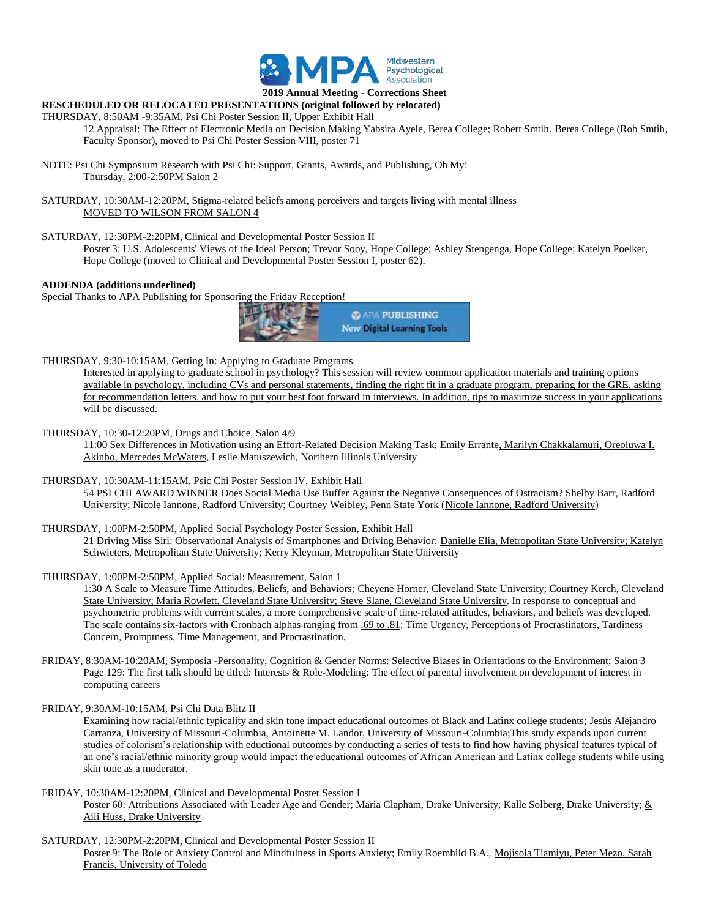

#### **2019 Annual Meeting - Corrections Sheet RESCHEDULED OR RELOCATED PRESENTATIONS (original followed by relocated)**

# THURSDAY, 8:50AM -9:35AM, Psi Chi Poster Session II, Upper Exhibit Hall

12 Appraisal: The Effect of Electronic Media on Decision Making Yabsira Ayele, Berea College; Robert Smtih, Berea College (Rob Smtih, Faculty Sponsor), moved to Psi Chi Poster Session VIII, poster 71

NOTE: Psi Chi Symposium Research with Psi Chi: Support, Grants, Awards, and Publishing, Oh My! Thursday, 2:00-2:50PM Salon 2

SATURDAY, 10:30AM-12:20PM, Stigma-related beliefs among perceivers and targets living with mental illness MOVED TO WILSON FROM SALON 4

SATURDAY, 12:30PM-2:20PM, Clinical and Developmental Poster Session II

Poster 3: U.S. Adolescents' Views of the Ideal Person; Trevor Sooy, Hope College; Ashley Stengenga, Hope College; Katelyn Poelker, Hope College (moved to Clinical and Developmental Poster Session I, poster 62).

#### **ADDENDA (additions underlined)**

Special Thanks to APA Publishing for Sponsoring the Friday Reception!



THURSDAY, 9:30-10:15AM, Getting In: Applying to Graduate Programs

Interested in applying to graduate school in psychology? This session will review common application materials and training options available in psychology, including CVs and personal statements, finding the right fit in a graduate program, preparing for the GRE, asking for recommendation letters, and how to put your best foot forward in interviews. In addition, tips to maximize success in your applications will be discussed.

THURSDAY, 10:30-12:20PM, Drugs and Choice, Salon 4/9

11:00 Sex Differences in Motivation using an Effort-Related Decision Making Task; Emily Errante, Marilyn Chakkalamuri, Oreoluwa I. Akinbo, Mercedes McWaters, Leslie Matuszewich, Northern Illinois University

THURSDAY, 10:30AM-11:15AM, Psic Chi Poster Session IV, Exhibit Hall

54 PSI CHI AWARD WINNER Does Social Media Use Buffer Against the Negative Consequences of Ostracism? Shelby Barr, Radford University; Nicole Iannone, Radford University; Courtney Weibley, Penn State York (Nicole Iannone, Radford University)

#### THURSDAY, 1:00PM-2:50PM, Applied Social Psychology Poster Session, Exhibit Hall

21 Driving Miss Siri: Observational Analysis of Smartphones and Driving Behavior; Danielle Elia, Metropolitan State University; Katelyn Schwieters, Metropolitan State University; Kerry Kleyman, Metropolitan State University

THURSDAY, 1:00PM-2:50PM, Applied Social: Measurement, Salon 1

1:30 A Scale to Measure Time Attitudes, Beliefs, and Behaviors; Cheyene Horner, Cleveland State University; Courtney Kerch, Cleveland State University; Maria Rowlett, Cleveland State University; Steve Slane, Cleveland State University. In response to conceptual and psychometric problems with current scales, a more comprehensive scale of time-related attitudes, behaviors, and beliefs was developed. The scale contains six-factors with Cronbach alphas ranging from .69 to .81: Time Urgency, Perceptions of Procrastinators, Tardiness Concern, Promptness, Time Management, and Procrastination.

- FRIDAY, 8:30AM-10:20AM, Symposia -Personality, Cognition & Gender Norms: Selective Biases in Orientations to the Environment; Salon 3 Page 129: The first talk should be titled: Interests & Role-Modeling: The effect of parental involvement on development of interest in computing careers
- FRIDAY, 9:30AM-10:15AM, Psi Chi Data Blitz II

Examining how racial/ethnic typicality and skin tone impact educational outcomes of Black and Latinx college students; Jesús Alejandro Carranza, University of Missouri-Columbia, Antoinette M. Landor, University of Missouri-Columbia;This study expands upon current studies of colorism's relationship with eductional outcomes by conducting a series of tests to find how having physical features typical of an one's racial/ethnic minority group would impact the educational outcomes of African American and Latinx college students while using skin tone as a moderator.

## FRIDAY, 10:30AM-12:20PM, Clinical and Developmental Poster Session I

Poster 60: Attributions Associated with Leader Age and Gender; Maria Clapham, Drake University; Kalle Solberg, Drake University; & Aili Huss, Drake University

# SATURDAY, 12:30PM-2:20PM, Clinical and Developmental Poster Session II Poster 9: The Role of Anxiety Control and Mindfulness in Sports Anxiety; Emily Roemhild B.A., Mojisola Tiamiyu, Peter Mezo, Sarah Francis, University of Toledo